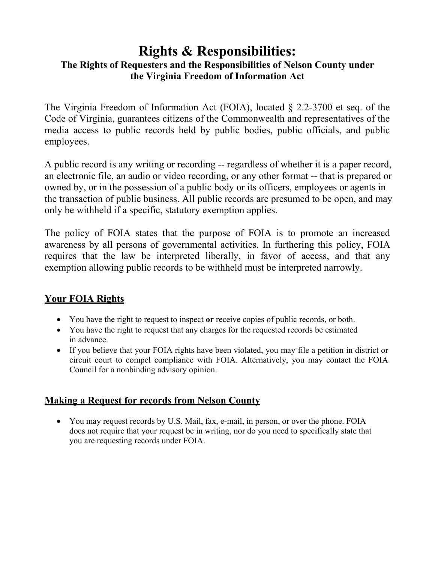# **Rights & Responsibilities:**

### **The Rights of Requesters and the Responsibilities of Nelson County under the Virginia Freedom of Information Act**

The Virginia Freedom of Information Act (FOIA), located § 2.2-3700 et seq. of the Code of Virginia, guarantees citizens of the Commonwealth and representatives of the media access to public records held by public bodies, public officials, and public employees.

A public record is any writing or recording -- regardless of whether it is a paper record, an electronic file, an audio or video recording, or any other format -- that is prepared or owned by, or in the possession of a public body or its officers, employees or agents in the transaction of public business. All public records are presumed to be open, and may only be withheld if a specific, statutory exemption applies.

The policy of FOIA states that the purpose of FOIA is to promote an increased awareness by all persons of governmental activities. In furthering this policy, FOIA requires that the law be interpreted liberally, in favor of access, and that any exemption allowing public records to be withheld must be interpreted narrowly.

## **Your FOIA Rights**

- You have the right to request to inspect **or** receive copies of public records, or both.
- You have the right to request that any charges for the requested records be estimated in advance.
- If you believe that your FOIA rights have been violated, you may file a petition in district or circuit court to compel compliance with FOIA. Alternatively, you may contact the FOIA Council for a nonbinding advisory opinion.

## **Making a Request for records from Nelson County**

 You may request records by U.S. Mail, fax, e-mail, in person, or over the phone. FOIA does not require that your request be in writing, nor do you need to specifically state that you are requesting records under FOIA.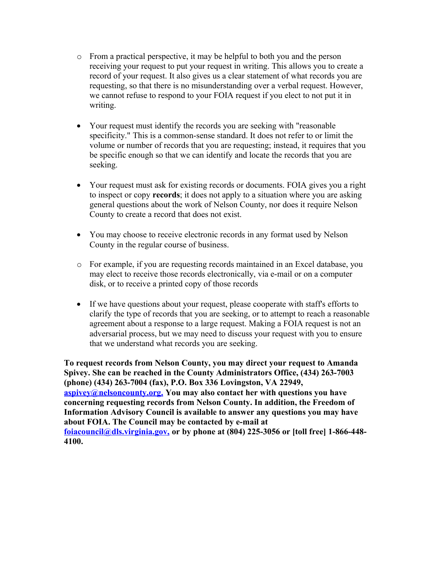- o From a practical perspective, it may be helpful to both you and the person receiving your request to put your request in writing. This allows you to create a record of your request. It also gives us a clear statement of what records you are requesting, so that there is no misunderstanding over a verbal request. However, we cannot refuse to respond to your FOIA request if you elect to not put it in writing.
- Your request must identify the records you are seeking with "reasonable" specificity." This is a common-sense standard. It does not refer to or limit the volume or number of records that you are requesting; instead, it requires that you be specific enough so that we can identify and locate the records that you are seeking.
- Your request must ask for existing records or documents. FOIA gives you a right to inspect or copy **records**; it does not apply to a situation where you are asking general questions about the work of Nelson County, nor does it require Nelson County to create a record that does not exist.
- You may choose to receive electronic records in any format used by Nelson County in the regular course of business.
- o For example, if you are requesting records maintained in an Excel database, you may elect to receive those records electronically, via e-mail or on a computer disk, or to receive a printed copy of those records
- If we have questions about your request, please cooperate with staff's efforts to clarify the type of records that you are seeking, or to attempt to reach a reasonable agreement about a response to a large request. Making a FOIA request is not an adversarial process, but we may need to discuss your request with you to ensure that we understand what records you are seeking.

**To request records from Nelson County, you may direct your request to Amanda Spivey. She can be reached in the County Administrators Office, (434) 263-7003 (phone) (434) 263-7004 (fax), P.O. Box 336 Lovingston, VA 22949, [aspivey@nelsoncounty.org.](mailto:aspivey@nelsoncounty.org.) You may also contact her with questions you have concerning requesting records from Nelson County. In addition, the Freedom of Information Advisory Council is available to answer any questions you may have about FOIA. The Council may be contacted by e-mail at [foiacouncil@dls.virginia.gov,](mailto:foiacouncil@dls.virginia.gov) or by phone at (804) 225-3056 or [toll free] 1-866-448- 4100.**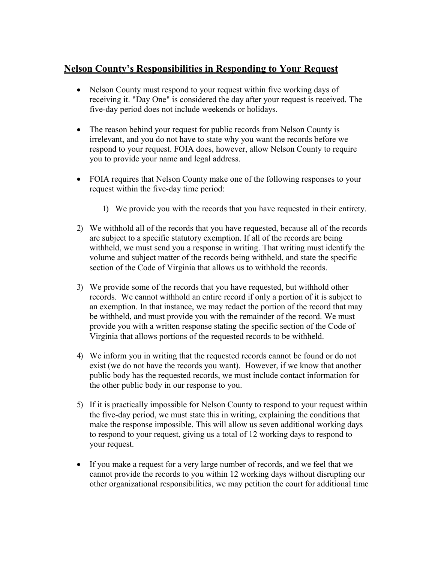#### **Nelson County's Responsibilities in Responding to Your Request**

- Nelson County must respond to your request within five working days of receiving it. "Day One" is considered the day after your request is received. The five-day period does not include weekends or holidays.
- The reason behind your request for public records from Nelson County is irrelevant, and you do not have to state why you want the records before we respond to your request. FOIA does, however, allow Nelson County to require you to provide your name and legal address.
- FOIA requires that Nelson County make one of the following responses to your request within the five-day time period:
	- 1) We provide you with the records that you have requested in their entirety.
- 2) We withhold all of the records that you have requested, because all of the records are subject to a specific statutory exemption. If all of the records are being withheld, we must send you a response in writing. That writing must identify the volume and subject matter of the records being withheld, and state the specific section of the Code of Virginia that allows us to withhold the records.
- 3) We provide some of the records that you have requested, but withhold other records. We cannot withhold an entire record if only a portion of it is subject to an exemption. In that instance, we may redact the portion of the record that may be withheld, and must provide you with the remainder of the record. We must provide you with a written response stating the specific section of the Code of Virginia that allows portions of the requested records to be withheld.
- 4) We inform you in writing that the requested records cannot be found or do not exist (we do not have the records you want). However, if we know that another public body has the requested records, we must include contact information for the other public body in our response to you.
- 5) If it is practically impossible for Nelson County to respond to your request within the five-day period, we must state this in writing, explaining the conditions that make the response impossible. This will allow us seven additional working days to respond to your request, giving us a total of 12 working days to respond to your request.
- If you make a request for a very large number of records, and we feel that we cannot provide the records to you within 12 working days without disrupting our other organizational responsibilities, we may petition the court for additional time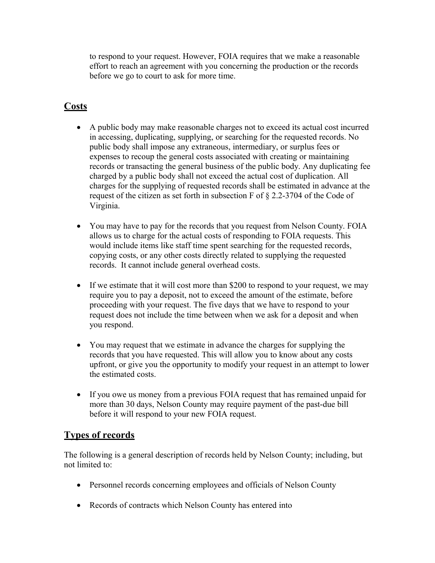to respond to your request. However, FOIA requires that we make a reasonable effort to reach an agreement with you concerning the production or the records before we go to court to ask for more time.

## **Costs**

- A public body may make reasonable charges not to exceed its actual cost incurred in accessing, duplicating, supplying, or searching for the requested records. No public body shall impose any extraneous, intermediary, or surplus fees or expenses to recoup the general costs associated with creating or maintaining records or transacting the general business of the public body. Any duplicating fee charged by a public body shall not exceed the actual cost of duplication. All charges for the supplying of requested records shall be estimated in advance at the request of the citizen as set forth in subsection F of § 2.2-3704 of the Code of Virginia.
- You may have to pay for the records that you request from Nelson County. FOIA allows us to charge for the actual costs of responding to FOIA requests. This would include items like staff time spent searching for the requested records, copying costs, or any other costs directly related to supplying the requested records. It cannot include general overhead costs.
- If we estimate that it will cost more than \$200 to respond to your request, we may require you to pay a deposit, not to exceed the amount of the estimate, before proceeding with your request. The five days that we have to respond to your request does not include the time between when we ask for a deposit and when you respond.
- You may request that we estimate in advance the charges for supplying the records that you have requested. This will allow you to know about any costs upfront, or give you the opportunity to modify your request in an attempt to lower the estimated costs.
- If you owe us money from a previous FOIA request that has remained unpaid for more than 30 days, Nelson County may require payment of the past-due bill before it will respond to your new FOIA request.

### **Types of records**

The following is a general description of records held by Nelson County; including, but not limited to:

- Personnel records concerning employees and officials of Nelson County
- Records of contracts which Nelson County has entered into